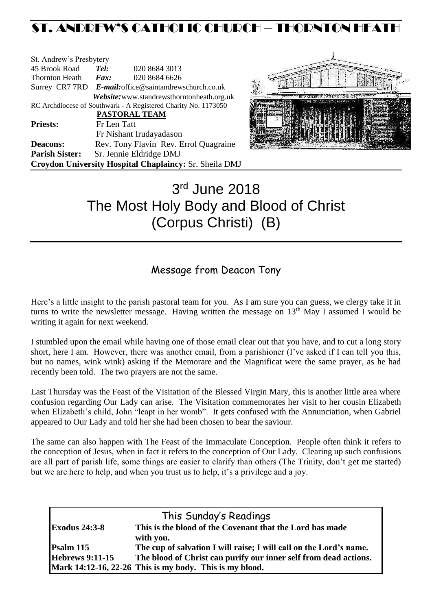# ST. ANDREW'S CATHOLIC CHURCH – THORNTON HEAT

| St. Andrew's Presbytery                                        |                                                        |                                            |  |  |  |
|----------------------------------------------------------------|--------------------------------------------------------|--------------------------------------------|--|--|--|
| 45 Brook Road                                                  | Tel:                                                   | 020 8684 3013                              |  |  |  |
| <b>Thornton Heath</b>                                          | $\boldsymbol{Fax:}$                                    | 020 8684 6626                              |  |  |  |
|                                                                | Surrey CR7 7RD E-mail: office@saintandrewschurch.co.uk |                                            |  |  |  |
|                                                                |                                                        | Website: www.standrewsthorntonheath.org.uk |  |  |  |
| RC Archdiocese of Southwark - A Registered Charity No. 1173050 |                                                        |                                            |  |  |  |
|                                                                |                                                        | PASTORAL TEAM                              |  |  |  |
| <b>Priests:</b>                                                | Fr Len Tatt                                            |                                            |  |  |  |
|                                                                |                                                        | Fr Nishant Irudayadason                    |  |  |  |
| <b>Deacons:</b>                                                |                                                        | Rev. Tony Flavin Rev. Errol Quagraine      |  |  |  |
| <b>Parish Sister:</b>                                          |                                                        | Sr. Jennie Eldridge DMJ                    |  |  |  |
| Croydon University Hospital Chaplaincy: Sr. Sheila DMJ         |                                                        |                                            |  |  |  |



# 3 rd June 2018 The Most Holy Body and Blood of Christ (Corpus Christi) (B)

# Message from Deacon Tony

Here's a little insight to the parish pastoral team for you. As I am sure you can guess, we clergy take it in turns to write the newsletter message. Having written the message on 13<sup>th</sup> May I assumed I would be writing it again for next weekend.

I stumbled upon the email while having one of those email clear out that you have, and to cut a long story short, here I am. However, there was another email, from a parishioner (I've asked if I can tell you this, but no names, wink wink) asking if the Memorare and the Magnificat were the same prayer, as he had recently been told. The two prayers are not the same.

Last Thursday was the Feast of the Visitation of the Blessed Virgin Mary, this is another little area where confusion regarding Our Lady can arise. The Visitation commemorates her visit to her cousin Elizabeth when Elizabeth's child, John "leapt in her womb". It gets confused with the Annunciation, when Gabriel appeared to Our Lady and told her she had been chosen to bear the saviour.

The same can also happen with The Feast of the Immaculate Conception. People often think it refers to the conception of Jesus, when in fact it refers to the conception of Our Lady. Clearing up such confusions are all part of parish life, some things are easier to clarify than others (The Trinity, don't get me started) but we are here to help, and when you trust us to help, it's a privilege and a joy.

| This Sunday's Readings |                                                                    |  |  |  |
|------------------------|--------------------------------------------------------------------|--|--|--|
| <b>Exodus 24:3-8</b>   | This is the blood of the Covenant that the Lord has made           |  |  |  |
|                        | with you.                                                          |  |  |  |
| $\mathbf{Psalm}$ 115   | The cup of salvation I will raise; I will call on the Lord's name. |  |  |  |
| <b>Hebrews 9:11-15</b> | The blood of Christ can purify our inner self from dead actions.   |  |  |  |
|                        | Mark 14:12-16, 22-26 This is my body. This is my blood.            |  |  |  |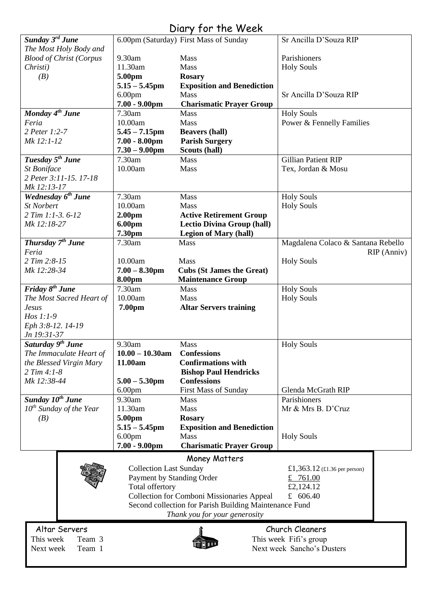# Diary for the Week

| Sunday 3rd June                |                                                        | 6.00pm (Saturday) First Mass of Sunday            | Sr Ancilla D'Souza RIP             |  |  |
|--------------------------------|--------------------------------------------------------|---------------------------------------------------|------------------------------------|--|--|
|                                |                                                        |                                                   |                                    |  |  |
| The Most Holy Body and         |                                                        |                                                   |                                    |  |  |
| <b>Blood of Christ (Corpus</b> | 9.30am                                                 | Mass                                              | Parishioners                       |  |  |
| Christi)                       | 11.30am                                                | Mass                                              | <b>Holy Souls</b>                  |  |  |
| (B)                            | 5.00pm                                                 | <b>Rosary</b>                                     |                                    |  |  |
|                                | $5.15 - 5.45$ pm                                       | <b>Exposition and Benediction</b>                 |                                    |  |  |
|                                | 6.00 <sub>pm</sub>                                     | <b>Mass</b>                                       | Sr Ancilla D'Souza RIP             |  |  |
|                                | $7.00 - 9.00$ pm                                       | <b>Charismatic Prayer Group</b>                   |                                    |  |  |
| Monday 4 <sup>th</sup> June    | 7.30am                                                 | <b>Mass</b>                                       | <b>Holy Souls</b>                  |  |  |
| Feria                          | 10.00am                                                | Mass                                              | Power & Fennelly Families          |  |  |
| 2 Peter 1:2-7                  |                                                        |                                                   |                                    |  |  |
|                                | $5.45 - 7.15$ pm                                       | <b>Beavers (hall)</b>                             |                                    |  |  |
| Mk 12:1-12                     | $7.00 - 8.00$ pm                                       | <b>Parish Surgery</b>                             |                                    |  |  |
|                                | $7.30 - 9.00$ pm                                       | Scouts (hall)                                     |                                    |  |  |
| Tuesday 5 <sup>th</sup> June   | 7.30am                                                 | <b>Mass</b>                                       | <b>Gillian Patient RIP</b>         |  |  |
| St Boniface                    | 10.00am                                                | Mass                                              | Tex, Jordan & Mosu                 |  |  |
| 2 Peter 3:11-15, 17-18         |                                                        |                                                   |                                    |  |  |
| Mk 12:13-17                    |                                                        |                                                   |                                    |  |  |
| Wednesday 6 <sup>th</sup> June | 7.30am                                                 | Mass                                              | <b>Holy Souls</b>                  |  |  |
| <b>St Norbert</b>              | 10.00am                                                | Mass                                              | <b>Holy Souls</b>                  |  |  |
| 2 Tim 1:1-3.6-12               | 2.00 <sub>pm</sub>                                     | <b>Active Retirement Group</b>                    |                                    |  |  |
| Mk 12:18-27                    | 6.00pm                                                 | <b>Lectio Divina Group (hall)</b>                 |                                    |  |  |
|                                | 7.30pm                                                 | <b>Legion of Mary (hall)</b>                      |                                    |  |  |
| Thursday 7 <sup>th</sup> June  | 7.30am                                                 | Mass                                              |                                    |  |  |
|                                |                                                        |                                                   | Magdalena Colaco & Santana Rebello |  |  |
| Feria                          |                                                        |                                                   | RIP (Anniv)                        |  |  |
| 2 Tim 2:8-15                   | 10.00am                                                | Mass                                              | <b>Holy Souls</b>                  |  |  |
| Mk 12:28-34                    | $7.00 - 8.30$ pm                                       | <b>Cubs (St James the Great)</b>                  |                                    |  |  |
|                                | 8.00pm                                                 | <b>Maintenance Group</b>                          |                                    |  |  |
| Friday 8 <sup>th</sup> June    | 7.30am                                                 | Mass                                              | <b>Holy Souls</b>                  |  |  |
| The Most Sacred Heart of       | 10.00am                                                | <b>Mass</b>                                       | <b>Holy Souls</b>                  |  |  |
| <b>Jesus</b>                   | 7.00pm                                                 | <b>Altar Servers training</b>                     |                                    |  |  |
| Hos $1:1-9$                    |                                                        |                                                   |                                    |  |  |
| Eph 3:8-12. 14-19              |                                                        |                                                   |                                    |  |  |
| Jn 19:31-37                    |                                                        |                                                   |                                    |  |  |
| Saturday 9 <sup>th</sup> June  | 9.30am                                                 | Mass                                              | <b>Holy Souls</b>                  |  |  |
|                                |                                                        |                                                   |                                    |  |  |
| The Immaculate Heart of        | $10.00 - 10.30$ am                                     | <b>Confessions</b>                                |                                    |  |  |
| the Blessed Virgin Mary        | 11.00am                                                | <b>Confirmations with</b>                         |                                    |  |  |
| 2 Tim 4:1-8                    |                                                        | <b>Bishop Paul Hendricks</b>                      |                                    |  |  |
| Mk 12:38-44                    | $5.00 - 5.30$ pm                                       | <b>Confessions</b>                                |                                    |  |  |
|                                | 6.00 <sub>pm</sub>                                     | <b>First Mass of Sunday</b>                       | Glenda McGrath RIP                 |  |  |
| Sunday 10 <sup>th</sup> June   | 9.30am                                                 | Mass                                              | Parishioners                       |  |  |
| $10^{th}$ Sunday of the Year   | 11.30am                                                | Mass                                              | Mr & Mrs B. D'Cruz                 |  |  |
| (B)                            | 5.00pm                                                 | <b>Rosary</b>                                     |                                    |  |  |
|                                | $5.15 - 5.45$ pm                                       | <b>Exposition and Benediction</b>                 |                                    |  |  |
|                                | 6.00 <sub>pm</sub>                                     | Mass                                              | <b>Holy Souls</b>                  |  |  |
|                                | $7.00 - 9.00$ pm                                       | <b>Charismatic Prayer Group</b>                   |                                    |  |  |
|                                |                                                        |                                                   |                                    |  |  |
|                                |                                                        | Money Matters                                     |                                    |  |  |
|                                | <b>Collection Last Sunday</b>                          |                                                   | £1,363.12 (£1.36 per person)       |  |  |
|                                | Payment by Standing Order                              |                                                   | £ $761.00$                         |  |  |
|                                | Total offertory                                        |                                                   | £2,124.12                          |  |  |
|                                |                                                        | <b>Collection for Comboni Missionaries Appeal</b> | £ $606.40$                         |  |  |
|                                | Second collection for Parish Building Maintenance Fund |                                                   |                                    |  |  |
|                                |                                                        | Thank you for your generosity                     |                                    |  |  |
|                                |                                                        |                                                   |                                    |  |  |
| Altar Servers                  |                                                        |                                                   | Church Cleaners                    |  |  |
| This week<br>Team 3            |                                                        |                                                   | This week Fifi's group             |  |  |
| Next week<br>Team 1            | Next week Sancho's Dusters                             |                                                   |                                    |  |  |
|                                |                                                        |                                                   |                                    |  |  |

 $\overline{\phantom{a}}$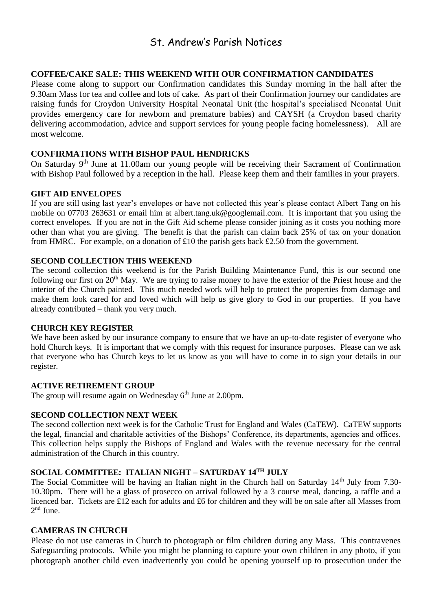# St. Andrew's Parish Notices

## **COFFEE/CAKE SALE: THIS WEEKEND WITH OUR CONFIRMATION CANDIDATES**

Please come along to support our Confirmation candidates this Sunday morning in the hall after the 9.30am Mass for tea and coffee and lots of cake. As part of their Confirmation journey our candidates are raising funds for Croydon University Hospital Neonatal Unit (the hospital's specialised Neonatal Unit provides emergency care for newborn and premature babies) and CAYSH (a Croydon based charity delivering accommodation, advice and support services for young people facing homelessness). All are most welcome.

#### **CONFIRMATIONS WITH BISHOP PAUL HENDRICKS**

On Saturday 9<sup>th</sup> June at 11.00am our young people will be receiving their Sacrament of Confirmation with Bishop Paul followed by a reception in the hall. Please keep them and their families in your prayers.

#### **GIFT AID ENVELOPES**

If you are still using last year's envelopes or have not collected this year's please contact Albert Tang on his mobile on 07703 263631 or email him at [albert.tang.uk@googlemail.com.](mailto:albert.tang.uk@googlemail.com) It is important that you using the correct envelopes. If you are not in the Gift Aid scheme please consider joining as it costs you nothing more other than what you are giving. The benefit is that the parish can claim back 25% of tax on your donation from HMRC. For example, on a donation of £10 the parish gets back £2.50 from the government.

#### **SECOND COLLECTION THIS WEEKEND**

The second collection this weekend is for the Parish Building Maintenance Fund, this is our second one following our first on 20<sup>th</sup> May. We are trying to raise money to have the exterior of the Priest house and the interior of the Church painted. This much needed work will help to protect the properties from damage and make them look cared for and loved which will help us give glory to God in our properties. If you have already contributed – thank you very much.

#### **CHURCH KEY REGISTER**

We have been asked by our insurance company to ensure that we have an up-to-date register of everyone who hold Church keys. It is important that we comply with this request for insurance purposes. Please can we ask that everyone who has Church keys to let us know as you will have to come in to sign your details in our register.

#### **ACTIVE RETIREMENT GROUP**

The group will resume again on Wednesday  $6<sup>th</sup>$  June at 2.00pm.

#### **SECOND COLLECTION NEXT WEEK**

The second collection next week is for the Catholic Trust for England and Wales (CaTEW). CaTEW supports the legal, financial and charitable activities of the Bishops' Conference, its departments, agencies and offices. This collection helps supply the Bishops of England and Wales with the revenue necessary for the central administration of the Church in this country.

## **SOCIAL COMMITTEE: ITALIAN NIGHT – SATURDAY 14TH JULY**

The Social Committee will be having an Italian night in the Church hall on Saturday 14<sup>th</sup> July from 7.30-10.30pm. There will be a glass of prosecco on arrival followed by a 3 course meal, dancing, a raffle and a licenced bar. Tickets are £12 each for adults and £6 for children and they will be on sale after all Masses from  $2<sup>nd</sup>$  June.

#### **CAMERAS IN CHURCH**

Please do not use cameras in Church to photograph or film children during any Mass. This contravenes Safeguarding protocols. While you might be planning to capture your own children in any photo, if you photograph another child even inadvertently you could be opening yourself up to prosecution under the